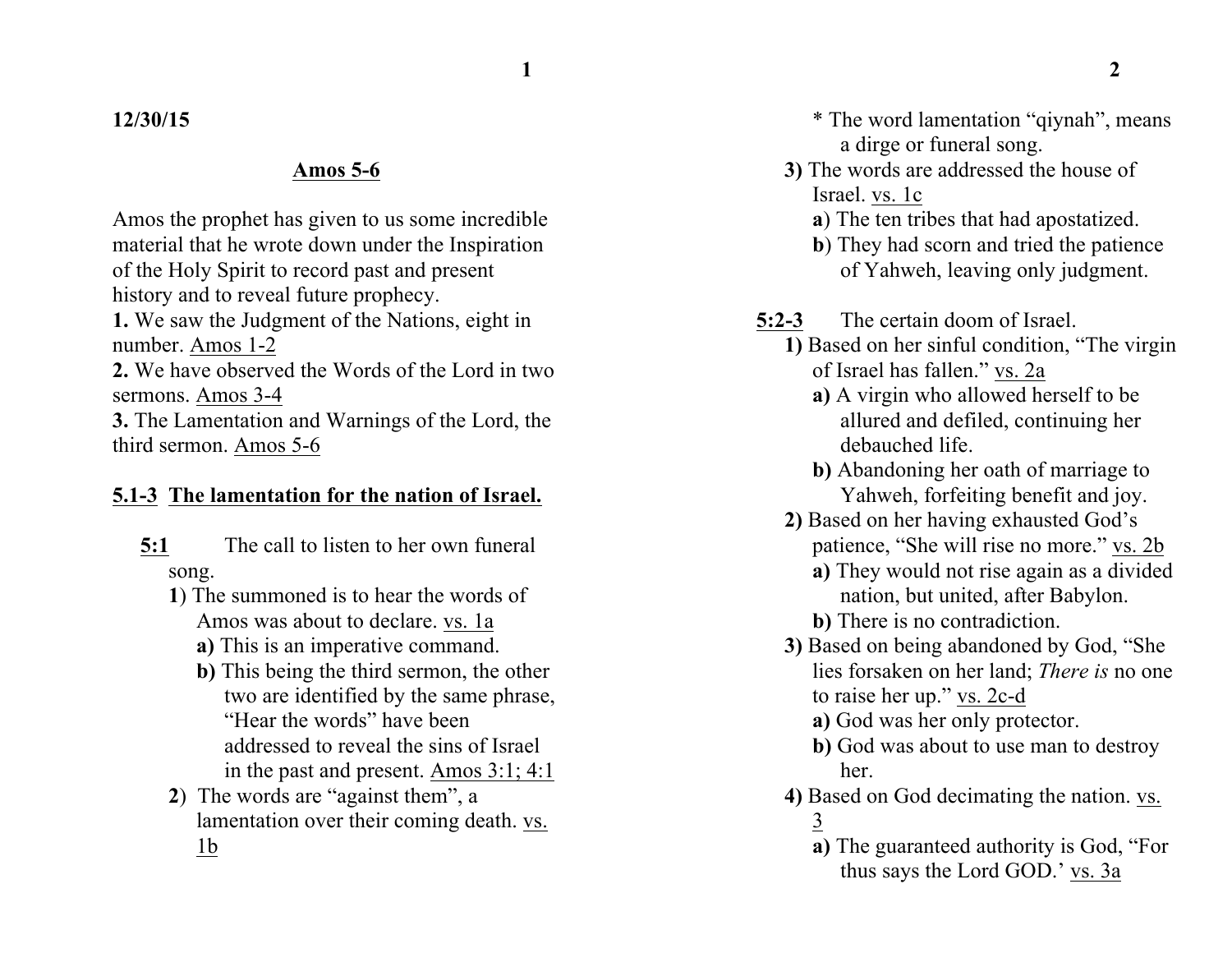### **12/30/15**

#### **Amos 5-6**

Amos the prophet has given to us some incredible material that he wrote down under the Inspiration of the Holy Spirit to record past and present history and to reveal future prophecy.

**1.** We saw the Judgment of the Nations, eight in number. Amos 1-2

**2.** We have observed the Words of the Lord in two sermons. Amos 3-4

**3.** The Lamentation and Warnings of the Lord, the third sermon. Amos 5-6

## **5.1-3 The lamentation for the nation of Israel.**

- **5:1** The call to listen to her own funeral song.
	- **1**) The summoned is to hear the words of Amos was about to declare. vs. 1a
		- **a)** This is an imperative command.
		- **b)** This being the third sermon, the other two are identified by the same phrase, "Hear the words" have been addressed to reveal the sins of Israel in the past and present. Amos 3:1; 4:1
	- **2**) The words are "against them", a lamentation over their coming death. vs. 1b
- \* The word lamentation "qiynah", means a dirge or funeral song.
- **3)** The words are addressed the house of Israel. vs. 1c

**a**) The ten tribes that had apostatized.

**b**) They had scorn and tried the patience of Yahweh, leaving only judgment.

- **5:2-3** The certain doom of Israel.
	- **1)** Based on her sinful condition, "The virgin of Israel has fallen." vs. 2a
		- **a)** A virgin who allowed herself to be allured and defiled, continuing her debauched life.
		- **b)** Abandoning her oath of marriage to Yahweh, forfeiting benefit and joy.
	- **2)** Based on her having exhausted God's patience, "She will rise no more." vs. 2b
		- **a)** They would not rise again as a divided nation, but united, after Babylon.
		- **b)** There is no contradiction.
	- **3)** Based on being abandoned by God, "She lies forsaken on her land; *There is* no one to raise her up." vs. 2c-d
		- **a**) God was her only protector.
		- **b**) God was about to use man to destroy her.
	- **4)** Based on God decimating the nation. vs. 3
		- **a)** The guaranteed authority is God, "For thus says the Lord GOD.' vs. 3a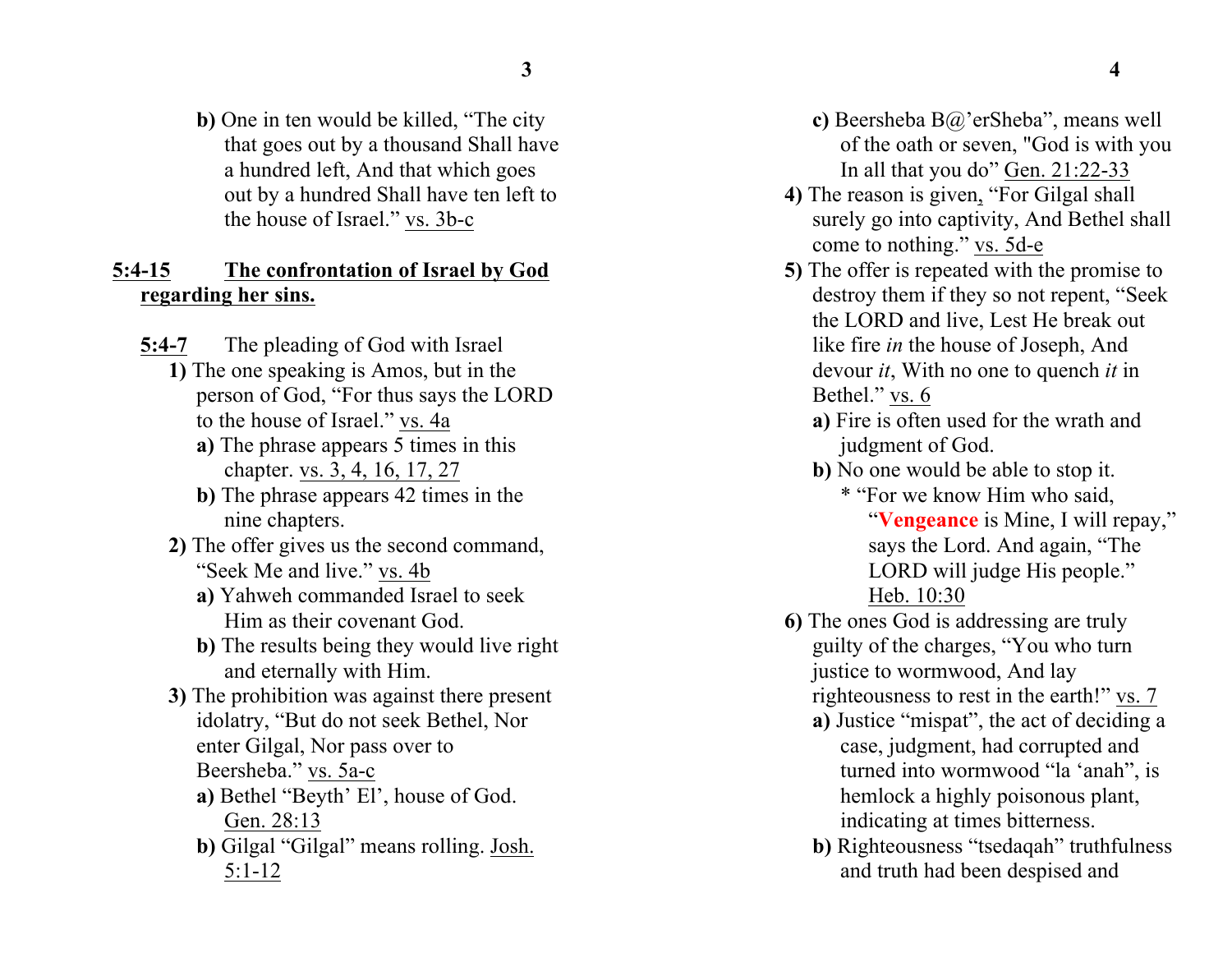**b)** One in ten would be killed, "The city that goes out by a thousand Shall have a hundred left, And that which goes out by a hundred Shall have ten left to the house of Israel." vs. 3b-c

#### **5:4-15 The confrontation of Israel by God regarding her sins.**

- **5:4-7** The pleading of God with Israel **1)** The one speaking is Amos, but in the person of God, "For thus says the LORD to the house of Israel." vs. 4a
	- **a)** The phrase appears 5 times in this chapter. vs. 3, 4, 16, 17, 27
	- **b)** The phrase appears 42 times in the nine chapters.
	- **2)** The offer gives us the second command, "Seek Me and live." vs. 4b
		- **a)** Yahweh commanded Israel to seek Him as their covenant God.
		- **b)** The results being they would live right and eternally with Him.
	- **3)** The prohibition was against there present idolatry, "But do not seek Bethel, Nor enter Gilgal, Nor pass over to Beersheba." vs. 5a-c
		- **a)** Bethel "Beyth' El', house of God. Gen. 28:13
		- **b**) Gilgal "Gilgal" means rolling. Josh. 5:1-12
- **c)** Beersheba B@'erSheba", means well of the oath or seven, "God is with you In all that you do" Gen. 21:22-33
- **4)** The reason is given, "For Gilgal shall surely go into captivity, And Bethel shall come to nothing." vs. 5d-e
- **5)** The offer is repeated with the promise to destroy them if they so not repent, "Seek the LORD and live, Lest He break out like fire *in* the house of Joseph, And devour *it*, With no one to quench *it* in Bethel." vs. 6
	- **a)** Fire is often used for the wrath and judgment of God.
	- **b)** No one would be able to stop it. \* "For we know Him who said, "**Vengeance** is Mine, I will repay," says the Lord. And again, "The LORD will judge His people." Heb. 10:30
- **6)** The ones God is addressing are truly guilty of the charges, "You who turn justice to wormwood, And lay righteousness to rest in the earth!" vs. 7
	- **a)** Justice "mispat", the act of deciding a case, judgment, had corrupted and turned into wormwood "la 'anah", is hemlock a highly poisonous plant, indicating at times bitterness.
	- **b)** Righteousness "tsedaqah" truthfulness and truth had been despised and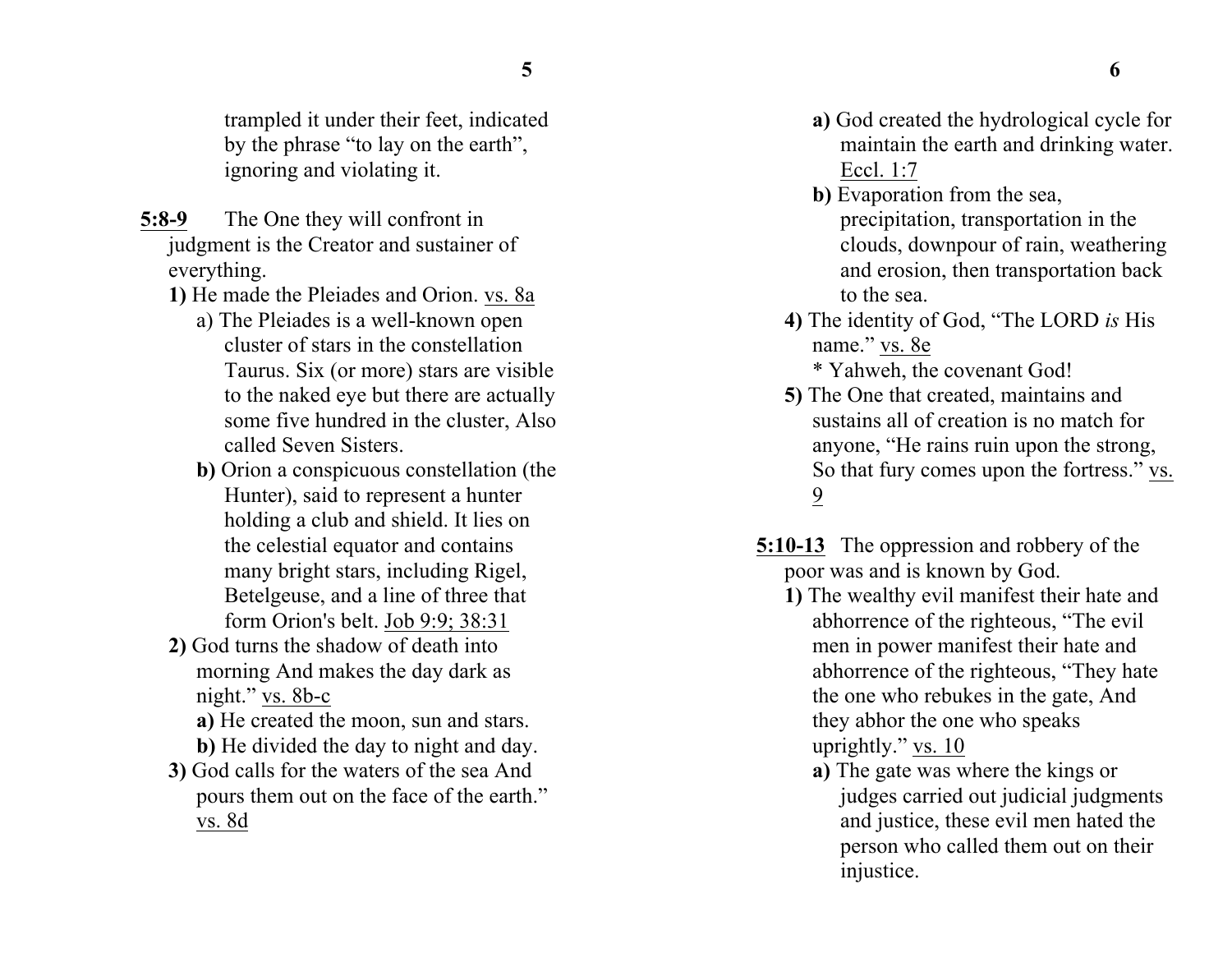- **5:8-9** The One they will confront in judgment is the Creator and sustainer of everything.
	- **1)** He made the Pleiades and Orion. vs. 8a
		- a) The Pleiades is a well-known open cluster of stars in the constellation Taurus. Six (or more) stars are visible to the naked eye but there are actually some five hundred in the cluster, Also called Seven Sisters.
		- **b)** Orion a conspicuous constellation (the Hunter), said to represent a hunter holding a club and shield. It lies on the celestial equator and contains many bright stars, including Rigel, Betelgeuse, and a line of three that form Orion's belt. Job 9:9; 38:31
	- **2)** God turns the shadow of death into morning And makes the day dark as night." vs. 8b-c
		- **a)** He created the moon, sun and stars.
		- **b)** He divided the day to night and day.
	- **3)** God calls for the waters of the sea And pours them out on the face of the earth." vs. 8d
- **a)** God created the hydrological cycle for maintain the earth and drinking water. Eccl. 1:7
- **b)** Evaporation from the sea, precipitation, transportation in the clouds, downpour of rain, weathering and erosion, then transportation back to the sea.
- **4)** The identity of God, "The LORD *is* His name." vs. 8e \* Yahweh, the covenant God!
- **5)** The One that created, maintains and sustains all of creation is no match for anyone, "He rains ruin upon the strong, So that fury comes upon the fortress." vs. 9
- **5:10-13** The oppression and robbery of the poor was and is known by God.
	- **1)** The wealthy evil manifest their hate and abhorrence of the righteous, "The evil men in power manifest their hate and abhorrence of the righteous, "They hate the one who rebukes in the gate, And they abhor the one who speaks uprightly." vs. 10
		- **a)** The gate was where the kings or judges carried out judicial judgments and justice, these evil men hated the person who called them out on their injustice.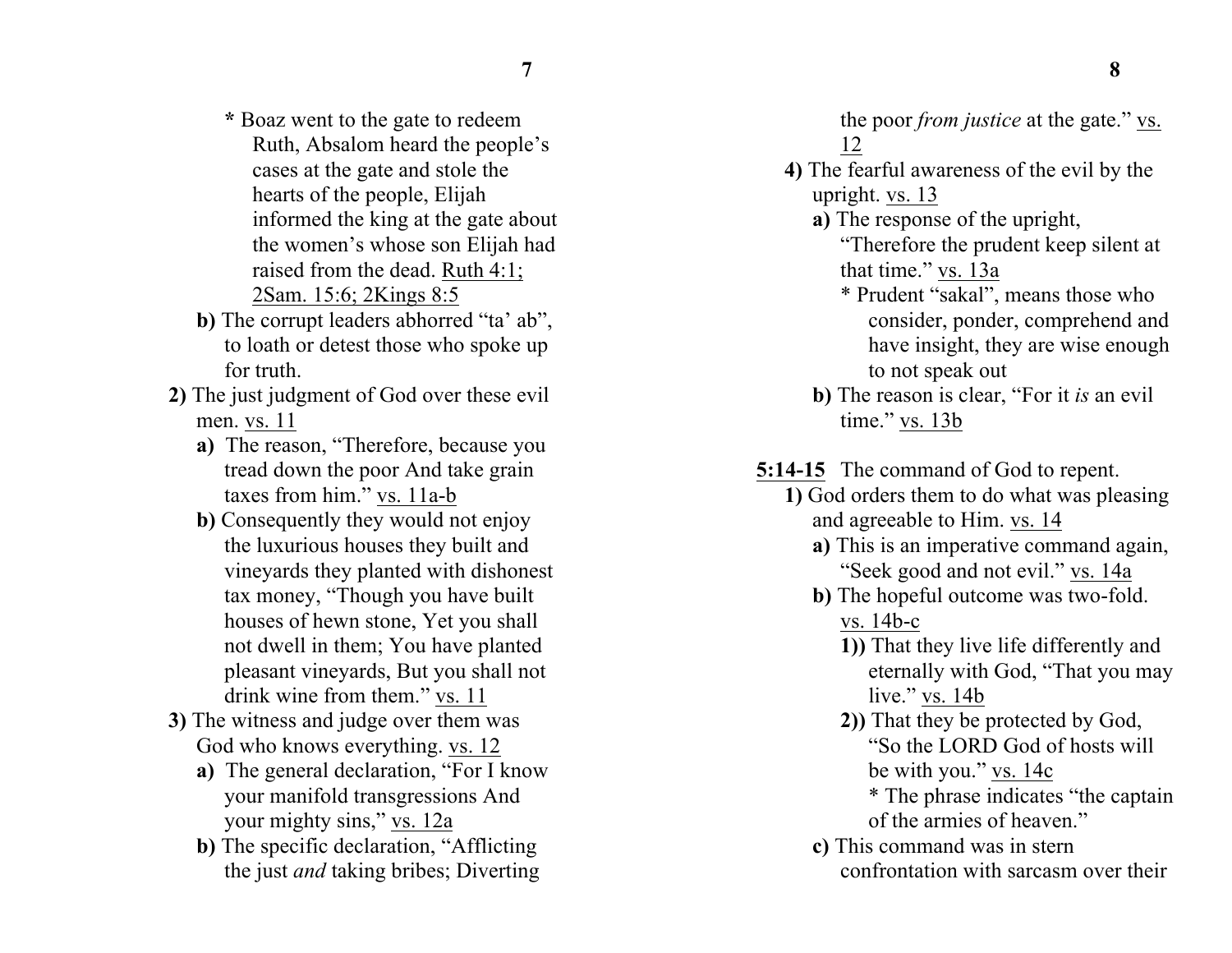- **\*** Boaz went to the gate to redeem Ruth, Absalom heard the people's cases at the gate and stole the hearts of the people, Elijah informed the king at the gate about the women's whose son Elijah had raised from the dead. Ruth 4:1; 2Sam. 15:6; 2Kings 8:5
- **b)** The corrupt leaders abhorred "ta' ab", to loath or detest those who spoke up for truth.
- **2)** The just judgment of God over these evil men. vs. 11
	- **a)** The reason, "Therefore, because you tread down the poor And take grain taxes from him." vs. 11a-b
	- **b)** Consequently they would not enjoy the luxurious houses they built and vineyards they planted with dishonest tax money, "Though you have built houses of hewn stone, Yet you shall not dwell in them; You have planted pleasant vineyards, But you shall not drink wine from them." vs. 11
- **3)** The witness and judge over them was God who knows everything. vs. 12
	- **a)** The general declaration, "For I know your manifold transgressions And your mighty sins," vs. 12a
	- **b)** The specific declaration, "Afflicting the just *and* taking bribes; Diverting

the poor *from justice* at the gate." vs. 12 **4)** The fearful awareness of the evil by the

- upright. vs. 13
- **a)** The response of the upright,

"Therefore the prudent keep silent at that time." vs. 13a

- \* Prudent "sakal", means those who consider, ponder, comprehend and have insight, they are wise enough to not speak out
- **b)** The reason is clear, "For it *is* an evil time." vs. 13b
- **5:14-15** The command of God to repent.
	- **1)** God orders them to do what was pleasing and agreeable to Him. vs. 14
		- **a)** This is an imperative command again, "Seek good and not evil." vs. 14a
		- **b)** The hopeful outcome was two-fold. vs. 14b-c
			- **1))** That they live life differently and eternally with God, "That you may live." vs. 14b
			- **2))** That they be protected by God, "So the LORD God of hosts will be with you." vs. 14c
				- \* The phrase indicates "the captain of the armies of heaven."
		- **c)** This command was in stern confrontation with sarcasm over their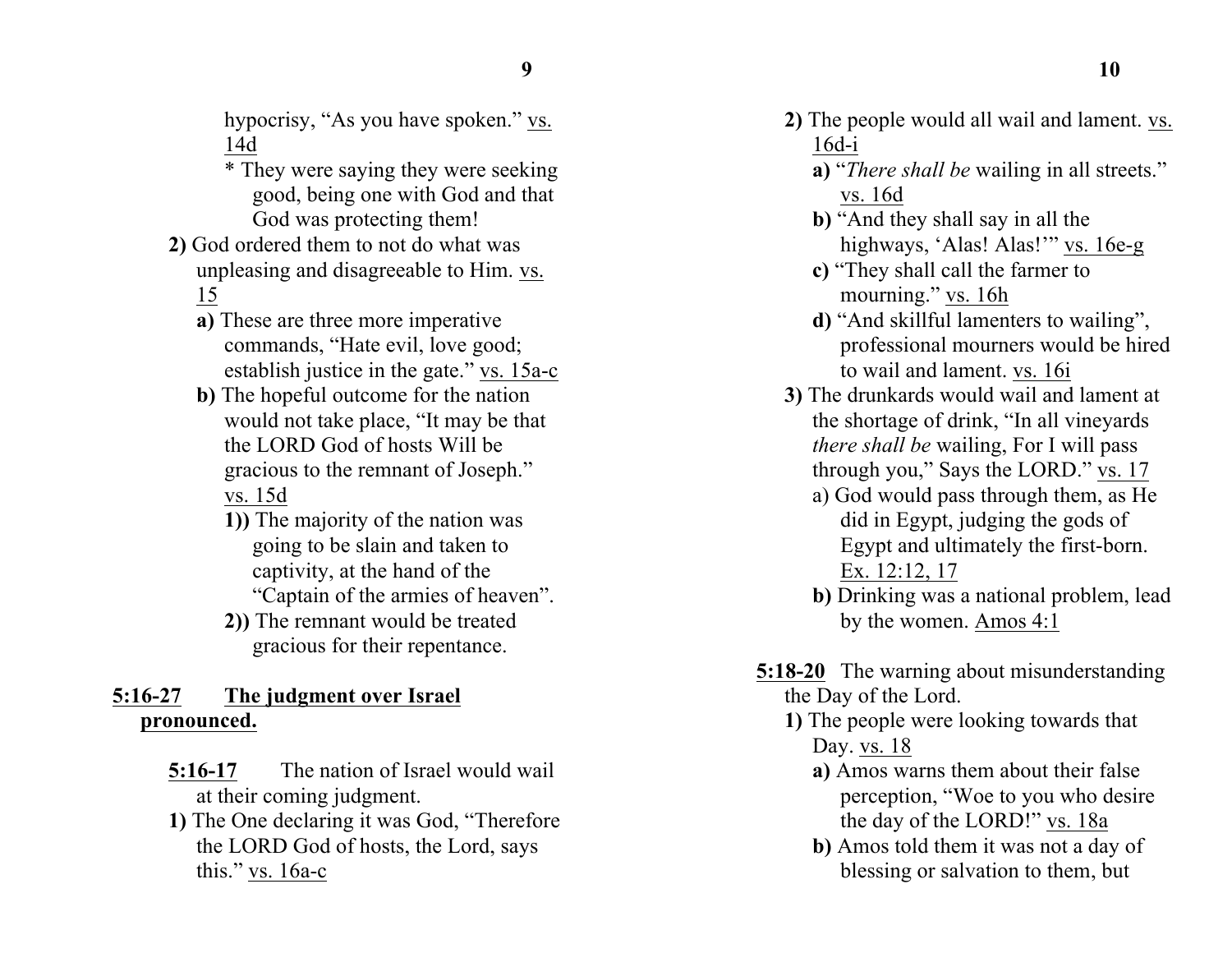hypocrisy, "As you have spoken." vs. 14d

- \* They were saying they were seeking good, being one with God and that God was protecting them!
- **2)** God ordered them to not do what was unpleasing and disagreeable to Him. vs. 15
	- **a)** These are three more imperative commands, "Hate evil, love good; establish justice in the gate." vs. 15a-c
	- **b)** The hopeful outcome for the nation would not take place, "It may be that the LORD God of hosts Will be gracious to the remnant of Joseph." vs. 15d
		- **1))** The majority of the nation was going to be slain and taken to captivity, at the hand of the "Captain of the armies of heaven".
		- **2))** The remnant would be treated gracious for their repentance.

# **5:16-27 The judgment over Israel pronounced.**

- **5:16-17** The nation of Israel would wail at their coming judgment.
- **1)** The One declaring it was God, "Therefore the LORD God of hosts, the Lord, says this." vs. 16a-c
- **2)** The people would all wail and lament. vs. 16d-i
	- **a)** "*There shall be* wailing in all streets." vs. 16d
	- **b)** "And they shall say in all the highways, 'Alas! Alas!'" vs. 16e-g
	- **c)** "They shall call the farmer to mourning." vs. 16h
	- **d)** "And skillful lamenters to wailing", professional mourners would be hired to wail and lament. vs. 16i
- **3)** The drunkards would wail and lament at the shortage of drink, "In all vineyards *there shall be* wailing, For I will pass through you," Says the LORD." vs. 17
	- a) God would pass through them, as He did in Egypt, judging the gods of Egypt and ultimately the first-born. Ex. 12:12, 17
	- **b)** Drinking was a national problem, lead by the women. Amos 4:1
- **5:18-20** The warning about misunderstanding the Day of the Lord.
	- **1)** The people were looking towards that Day. vs. 18
		- **a)** Amos warns them about their false perception, "Woe to you who desire the day of the LORD!" vs. 18a
		- **b)** Amos told them it was not a day of blessing or salvation to them, but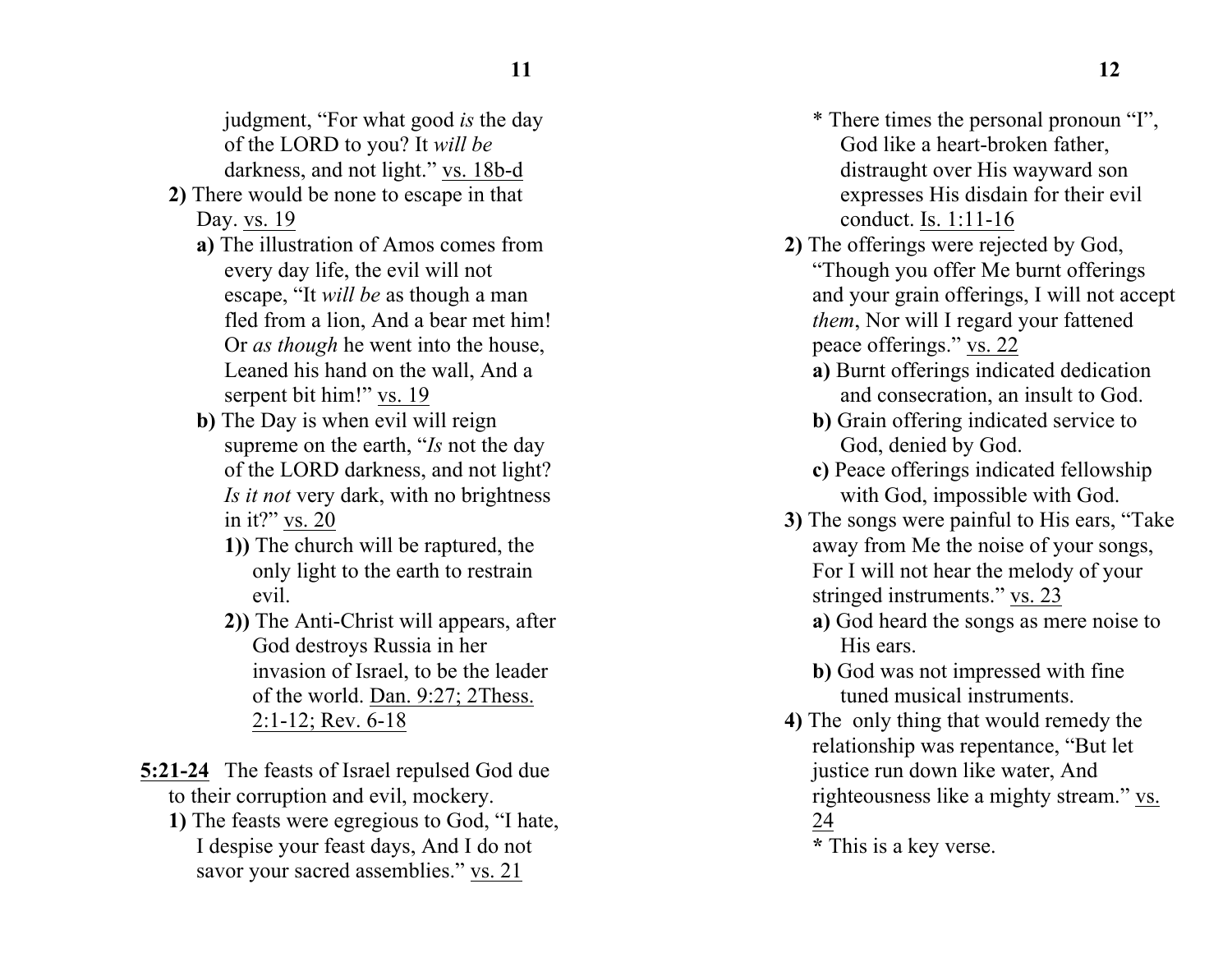judgment, "For what good *is* the day of the LORD to you? It *will be* darkness, and not light." vs. 18b-d

- **2)** There would be none to escape in that Day. vs. 19
	- **a)** The illustration of Amos comes from every day life, the evil will not escape, "It *will be* as though a man fled from a lion, And a bear met him! Or *as though* he went into the house, Leaned his hand on the wall, And a serpent bit him!" vs. 19
	- **b)** The Day is when evil will reign supreme on the earth, "*Is* not the day of the LORD darkness, and not light? *Is it not* very dark, with no brightness in it?" vs. 20
		- **1))** The church will be raptured, the only light to the earth to restrain evil.
		- **2))** The Anti-Christ will appears, after God destroys Russia in her invasion of Israel, to be the leader of the world. Dan. 9:27; 2Thess. 2:1-12; Rev. 6-18
- **5:21-24** The feasts of Israel repulsed God due to their corruption and evil, mockery.
	- **1)** The feasts were egregious to God, "I hate, I despise your feast days, And I do not savor your sacred assemblies." vs. 21
- \* There times the personal pronoun "I", God like a heart-broken father, distraught over His wayward son expresses His disdain for their evil conduct. Is. 1:11-16
- **2)** The offerings were rejected by God, "Though you offer Me burnt offerings and your grain offerings, I will not accept *them*, Nor will I regard your fattened peace offerings." vs. 22
	- **a)** Burnt offerings indicated dedication and consecration, an insult to God.
	- **b)** Grain offering indicated service to God, denied by God.
	- **c)** Peace offerings indicated fellowship with God, impossible with God.
- **3)** The songs were painful to His ears, "Take away from Me the noise of your songs, For I will not hear the melody of your stringed instruments." vs. 23
	- **a)** God heard the songs as mere noise to His ears.
	- **b)** God was not impressed with fine tuned musical instruments.
- **4)** The only thing that would remedy the relationship was repentance, "But let justice run down like water, And righteousness like a mighty stream." vs. 24

**\*** This is a key verse.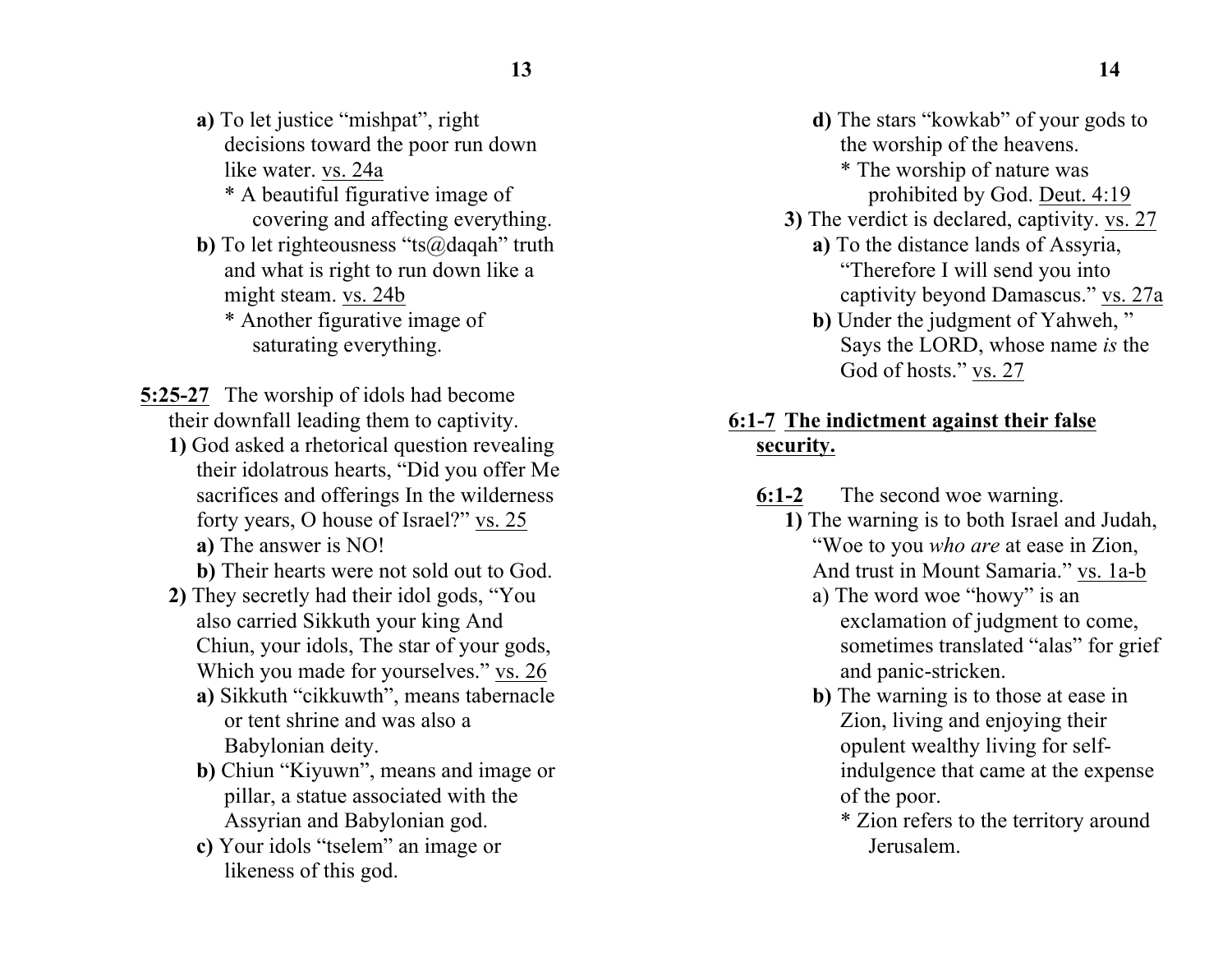- **a)** To let justice "mishpat", right decisions toward the poor run down like water. vs. 24a
	- \* A beautiful figurative image of covering and affecting everything.
- **b**) To let righteousness "ts@daqah" truth and what is right to run down like a might steam. vs. 24b
	- \* Another figurative image of saturating everything.
- **5:25-27** The worship of idols had become their downfall leading them to captivity.
	- **1)** God asked a rhetorical question revealing their idolatrous hearts, "Did you offer Me sacrifices and offerings In the wilderness forty years, O house of Israel?" vs. 25 **a)** The answer is NO!

**b)** Their hearts were not sold out to God.

- **2)** They secretly had their idol gods, "You also carried Sikkuth your king And Chiun, your idols, The star of your gods, Which you made for yourselves." vs. 26
	- **a)** Sikkuth "cikkuwth", means tabernacle or tent shrine and was also a Babylonian deity.
	- **b)** Chiun "Kiyuwn", means and image or pillar, a statue associated with the Assyrian and Babylonian god.
	- **c)** Your idols "tselem" an image or likeness of this god.
- **d)** The stars "kowkab" of your gods to the worship of the heavens.
	- \* The worship of nature was prohibited by God. Deut. 4:19
- **3)** The verdict is declared, captivity. vs. 27
	- **a)** To the distance lands of Assyria, "Therefore I will send you into captivity beyond Damascus." vs. 27a
	- **b)** Under the judgment of Yahweh, " Says the LORD, whose name *is* the God of hosts." vs. 27

### **6:1-7 The indictment against their false security.**

- **6:1-2** The second woe warning.
	- **1)** The warning is to both Israel and Judah, "Woe to you *who are* at ease in Zion, And trust in Mount Samaria." vs. 1a-b
		- a) The word woe "howy" is an exclamation of judgment to come, sometimes translated "alas" for grief and panic-stricken.
		- **b)** The warning is to those at ease in Zion, living and enjoying their opulent wealthy living for selfindulgence that came at the expense of the poor.
			- \* Zion refers to the territory around Jerusalem.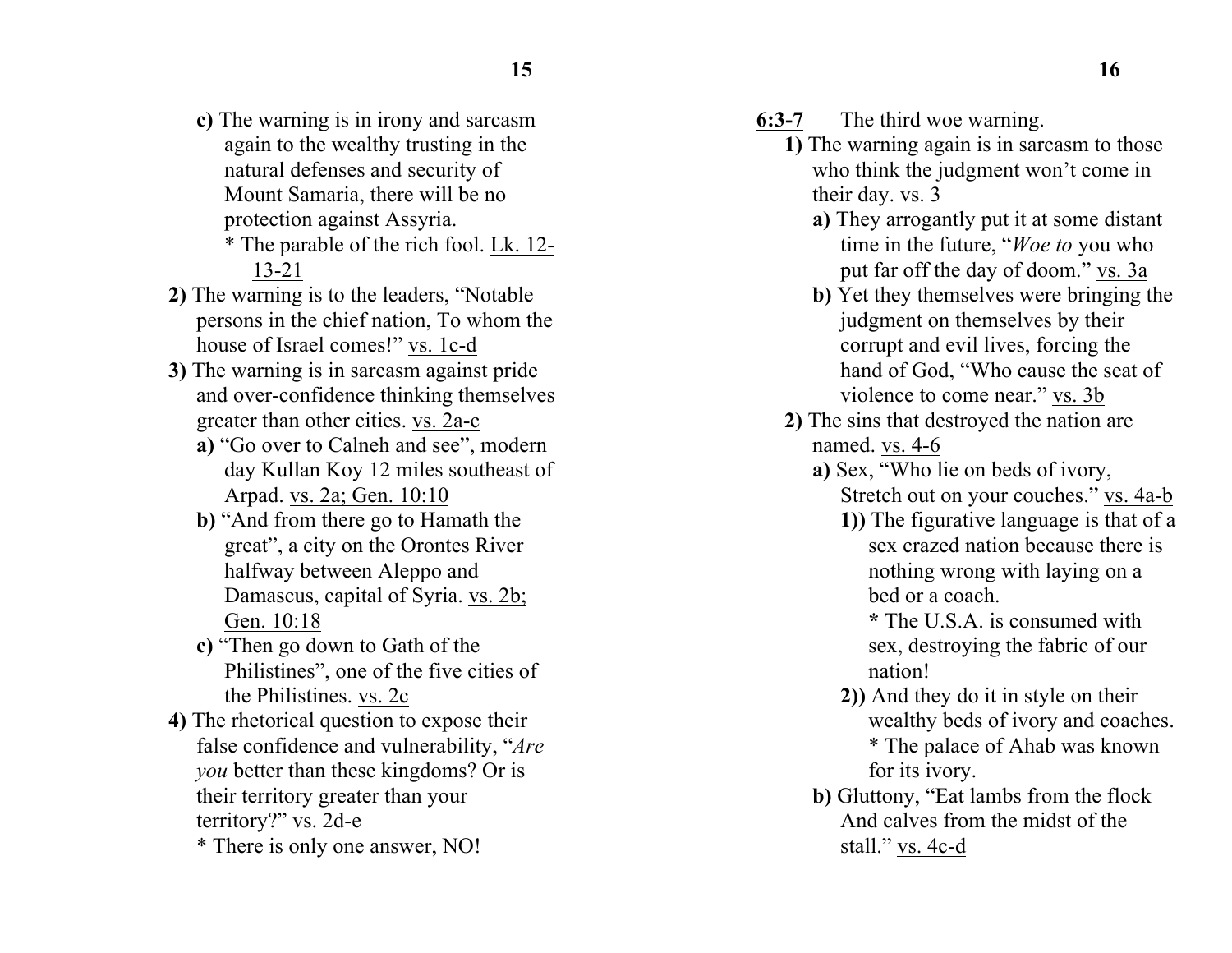- **c)** The warning is in irony and sarcasm again to the wealthy trusting in the natural defenses and security of Mount Samaria, there will be no protection against Assyria.
	- \* The parable of the rich fool. Lk. 12- 13-21
- **2)** The warning is to the leaders, "Notable persons in the chief nation, To whom the house of Israel comes!" vs. 1c-d
- **3)** The warning is in sarcasm against pride and over-confidence thinking themselves greater than other cities. vs. 2a-c
	- **a)** "Go over to Calneh and see", modern day Kullan Koy 12 miles southeast of Arpad. vs. 2a; Gen. 10:10
	- **b)** "And from there go to Hamath the great", a city on the Orontes River halfway between Aleppo and Damascus, capital of Syria. vs. 2b; Gen. 10:18
	- **c)** "Then go down to Gath of the Philistines", one of the five cities of the Philistines. vs. 2c
- **4)** The rhetorical question to expose their false confidence and vulnerability, "*Are you* better than these kingdoms? Or is their territory greater than your territory?" vs. 2d-e \* There is only one answer, NO!
- **6:3-7** The third woe warning.
	- **1)** The warning again is in sarcasm to those who think the judgment won't come in their day. vs. 3
		- **a)** They arrogantly put it at some distant time in the future, "*Woe to* you who put far off the day of doom." vs. 3a
		- **b)** Yet they themselves were bringing the judgment on themselves by their corrupt and evil lives, forcing the hand of God, "Who cause the seat of violence to come near." vs. 3b
	- **2)** The sins that destroyed the nation are named. vs. 4-6
		- **a)** Sex, "Who lie on beds of ivory, Stretch out on your couches." vs. 4a-b
			- **1))** The figurative language is that of a sex crazed nation because there is nothing wrong with laying on a bed or a coach.
				- **\*** The U.S.A. is consumed with sex, destroying the fabric of our nation!
			- **2))** And they do it in style on their wealthy beds of ivory and coaches. \* The palace of Ahab was known for its ivory.
		- **b)** Gluttony, "Eat lambs from the flock And calves from the midst of the stall." vs. 4c-d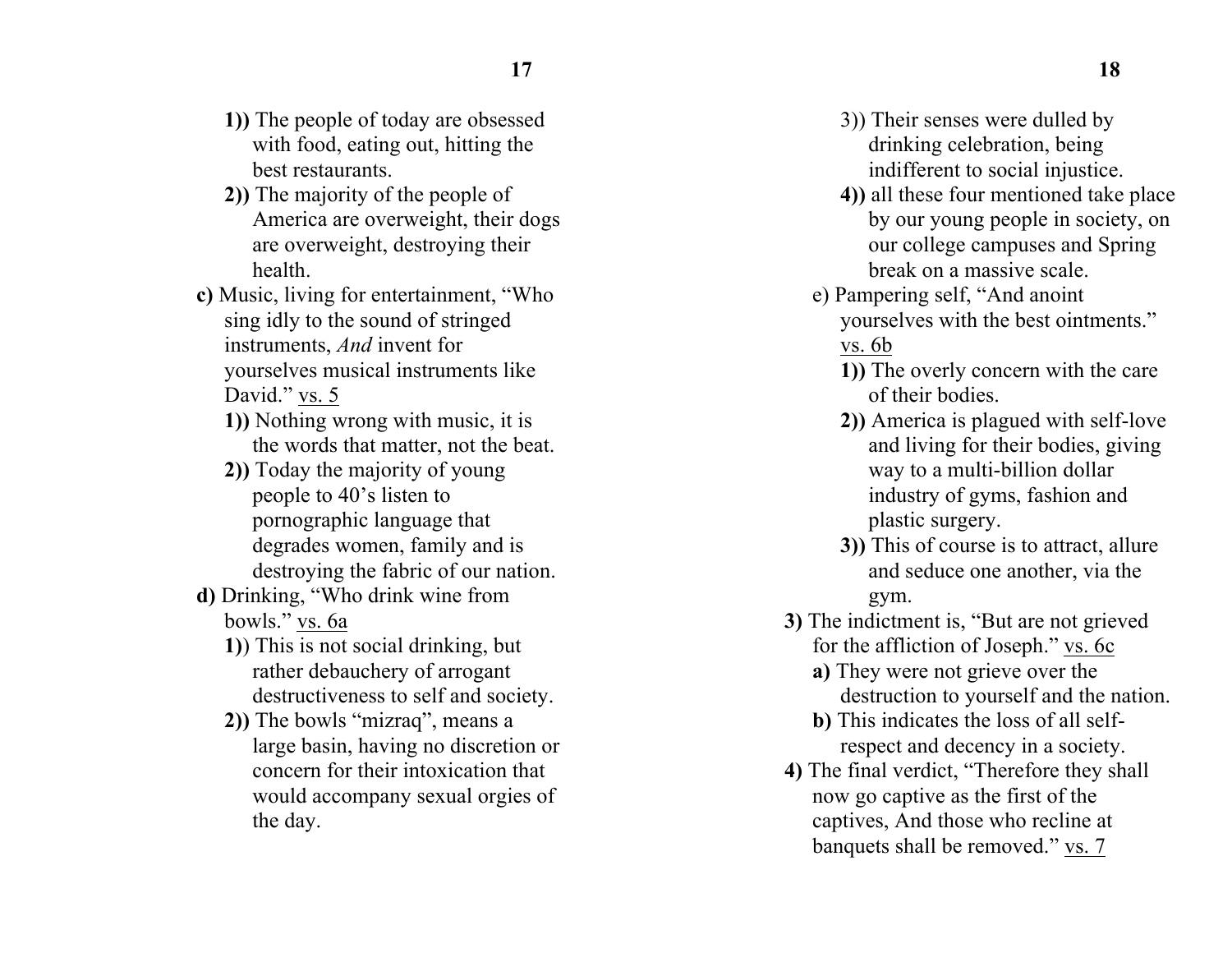- **1))** The people of today are obsessed with food, eating out, hitting the best restaurants.
- **2))** The majority of the people of America are overweight, their dogs are overweight, destroying their health.
- **c)** Music, living for entertainment, "Who sing idly to the sound of stringed instruments, *And* invent for yourselves musical instruments like David." vs. 5
	- **1))** Nothing wrong with music, it is the words that matter, not the beat.
	- **2))** Today the majority of young people to 40's listen to pornographic language that degrades women, family and is destroying the fabric of our nation.
- **d)** Drinking, "Who drink wine from bowls." vs. 6a
	- **1)**) This is not social drinking, but rather debauchery of arrogant destructiveness to self and society.
	- **2))** The bowls "mizraq", means a large basin, having no discretion or concern for their intoxication that would accompany sexual orgies of the day.
- 3)) Their senses were dulled by drinking celebration, being indifferent to social injustice.
- **4))** all these four mentioned take place by our young people in society, on our college campuses and Spring break on a massive scale.
- e) Pampering self, "And anoint yourselves with the best ointments." vs. 6b
	- **1))** The overly concern with the care of their bodies.
	- **2))** America is plagued with self-love and living for their bodies, giving way to a multi-billion dollar industry of gyms, fashion and plastic surgery.
	- **3))** This of course is to attract, allure and seduce one another, via the gym.
- **3)** The indictment is, "But are not grieved for the affliction of Joseph." vs. 6c
	- **a)** They were not grieve over the destruction to yourself and the nation.
	- **b)** This indicates the loss of all selfrespect and decency in a society.
- **4)** The final verdict, "Therefore they shall now go captive as the first of the captives, And those who recline at banquets shall be removed." vs. 7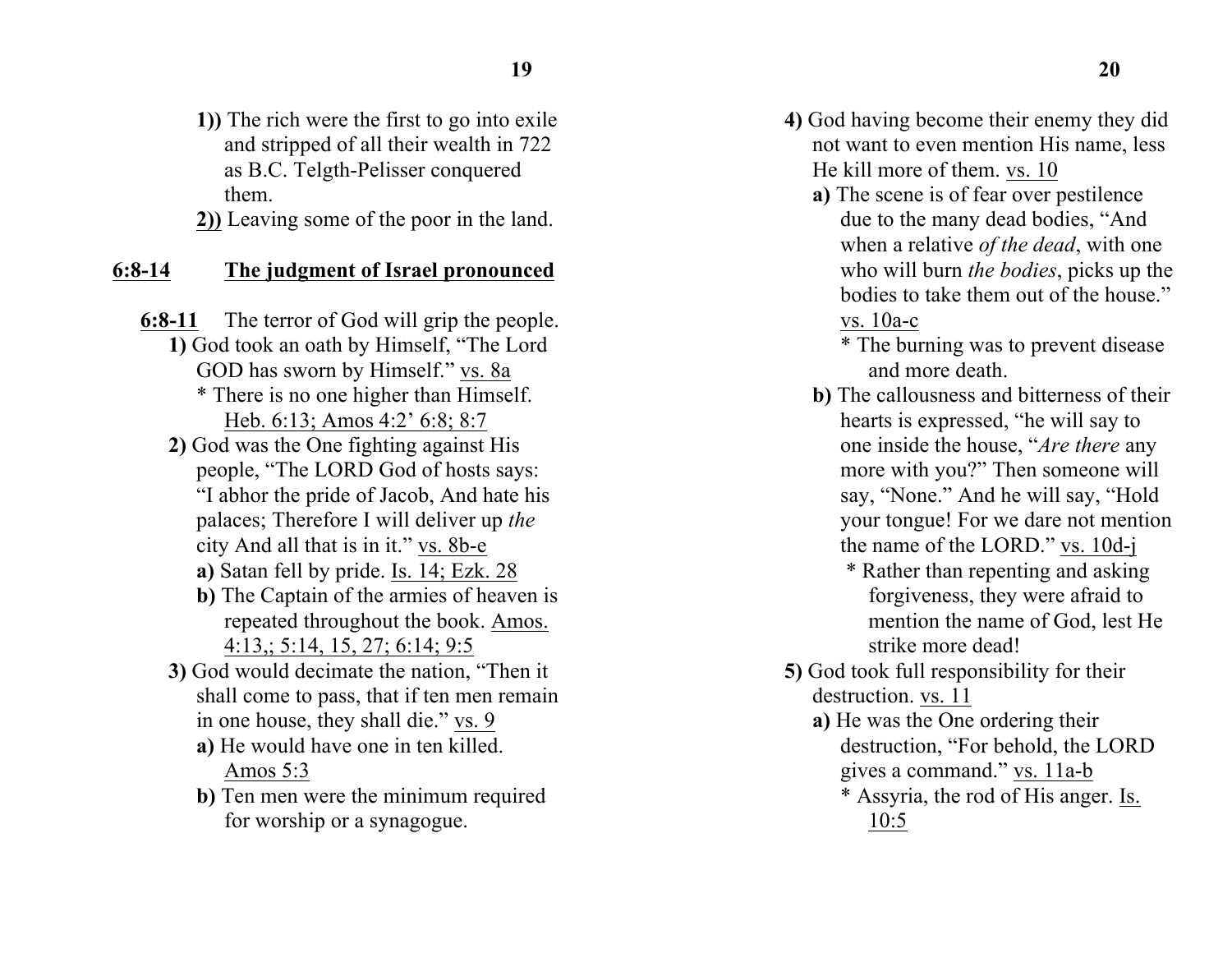**1))** The rich were the first to go into exile and stripped of all their wealth in 722 as B.C. Telgth-Pelisser conquered them.

**2))** Leaving some of the poor in the land.

#### **6:8-14 The judgment of Israel pronounced**

**6:8-11** The terror of God will grip the people. **1)** God took an oath by Himself, "The Lord GOD has sworn by Himself." vs. 8a \* There is no one higher than Himself. Heb. 6:13; Amos 4:2' 6:8; 8:7

- **2)** God was the One fighting against His people, "The LORD God of hosts says: "I abhor the pride of Jacob, And hate his palaces; Therefore I will deliver up *the* city And all that is in it." vs. 8b-e
	- **a)** Satan fell by pride. Is. 14; Ezk. 28
	- **b)** The Captain of the armies of heaven is repeated throughout the book. Amos. 4:13,; 5:14, 15, 27; 6:14; 9:5
- **3)** God would decimate the nation, "Then it shall come to pass, that if ten men remain in one house, they shall die." vs. 9
	- **a)** He would have one in ten killed. Amos 5:3
	- **b)** Ten men were the minimum required for worship or a synagogue.
- **4)** God having become their enemy they did not want to even mention His name, less He kill more of them. vs. 10
	- **a)** The scene is of fear over pestilence due to the many dead bodies, "And when a relative *of the dead*, with one who will burn *the bodies*, picks up the bodies to take them out of the house." vs. 10a-c

\* The burning was to prevent disease and more death.

- **b)** The callousness and bitterness of their hearts is expressed, "he will say to one inside the house, "*Are there* any more with you?" Then someone will say, "None." And he will say, "Hold your tongue! For we dare not mention the name of the LORD." vs. 10d-j
	- \* Rather than repenting and asking forgiveness, they were afraid to mention the name of God, lest He strike more dead!
- **5)** God took full responsibility for their destruction. vs. 11
	- **a)** He was the One ordering their destruction, "For behold, the LORD gives a command." vs. 11a-b \* Assyria, the rod of His anger. Is. 10:5